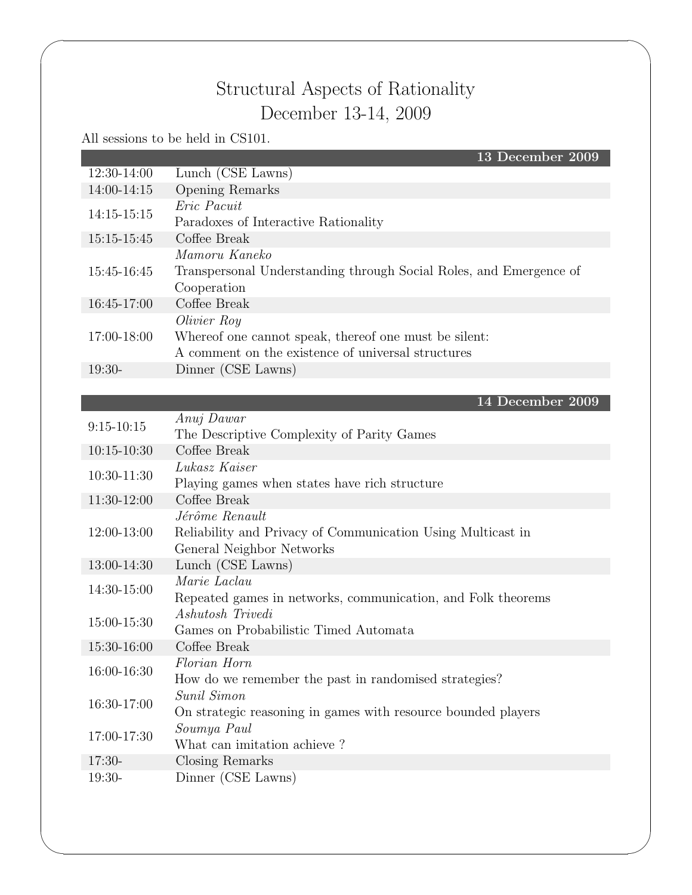## Structural Aspects of Rationality December 13-14, 2009

All sessions to be held in CS101.

 $\sqrt{2\pi}$ 

|                 | 13 December 2009                                                   |
|-----------------|--------------------------------------------------------------------|
| 12:30-14:00     | Lunch (CSE Lawns)                                                  |
| 14:00-14:15     | Opening Remarks                                                    |
| $14:15 - 15:15$ | Eric Pacuit                                                        |
|                 | Paradoxes of Interactive Rationality                               |
| 15:15-15:45     | Coffee Break                                                       |
|                 | Mamoru Kaneko                                                      |
| 15:45-16:45     | Transpersonal Understanding through Social Roles, and Emergence of |
|                 | Cooperation                                                        |
| 16:45-17:00     | Coffee Break                                                       |
|                 | Olivier Roy                                                        |
| 17:00-18:00     | Whereof one cannot speak, thereof one must be silent:              |
|                 | A comment on the existence of universal structures                 |
| $19:30-$        | Dinner (CSE Lawns)                                                 |
|                 |                                                                    |
|                 | 14 December 2009                                                   |
| $9:15 - 10:15$  | Anuj Dawar                                                         |
|                 | The Descriptive Complexity of Parity Games                         |
| $10:15 - 10:30$ | Coffee Break                                                       |
| 10:30-11:30     | Lukasz Kaiser                                                      |
| 11:30-12:00     | Playing games when states have rich structure<br>Coffee Break      |
|                 | Jérôme Renault                                                     |
| 12:00-13:00     | Reliability and Privacy of Communication Using Multicast in        |
|                 | General Neighbor Networks                                          |
| 13:00-14:30     | Lunch (CSE Lawns)                                                  |
|                 | Marie Laclau                                                       |
| 14:30-15:00     | Repeated games in networks, communication, and Folk theorems       |
|                 | Ashutosh Trivedi                                                   |
| 15:00-15:30     | Games on Probabilistic Timed Automata                              |
| 15:30-16:00     | Coffee Break                                                       |
|                 | Florian Horn                                                       |
| 16:00-16:30     | How do we remember the past in randomised strategies?              |
| 16:30-17:00     | Sunil Simon                                                        |
|                 | On strategic reasoning in games with resource bounded players      |
| 17:00-17:30     | Soumya Paul                                                        |
|                 | What can imitation achieve?                                        |
| $17:30-$        | Closing Remarks                                                    |
| 19:30-          | Dinner (CSE Lawns)                                                 |
|                 |                                                                    |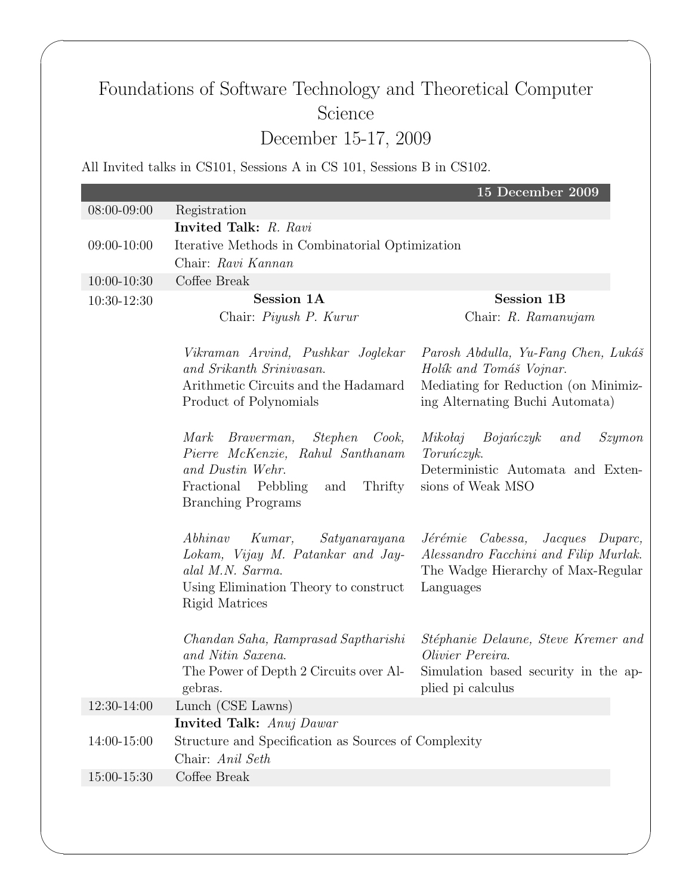## Foundations of Software Technology and Theoretical Computer Science December 15-17, 2009

All Invited talks in CS101, Sessions A in CS 101, Sessions B in CS102.

 $\sqrt{2\pi}$ 

|             |                                                      | 15 December 2009                      |
|-------------|------------------------------------------------------|---------------------------------------|
| 08:00-09:00 | Registration                                         |                                       |
|             | Invited Talk: R. Ravi                                |                                       |
| 09:00-10:00 | Iterative Methods in Combinatorial Optimization      |                                       |
|             | Chair: Ravi Kannan                                   |                                       |
| 10:00-10:30 | Coffee Break                                         |                                       |
| 10:30-12:30 | Session 1A                                           | <b>Session 1B</b>                     |
|             | Chair: Piyush P. Kurur                               | Chair: R. Ramanujam                   |
|             |                                                      |                                       |
|             | Vikraman Arvind, Pushkar Joglekar                    | Parosh Abdulla, Yu-Fang Chen, Lukáš   |
|             | and Srikanth Srinivasan.                             | Holík and Tomáš Vojnar.               |
|             | Arithmetic Circuits and the Hadamard                 | Mediating for Reduction (on Minimiz-  |
|             | Product of Polynomials                               | ing Alternating Buchi Automata)       |
|             | Braverman,<br>Stephen<br>Mark<br>Cook,               | Mikołaj<br>Bojańczyk<br>Szymon<br>and |
|             | Pierre McKenzie, Rahul Santhanam                     | Toruńczyk.                            |
|             | and Dustin Wehr.                                     | Deterministic Automata and Exten-     |
|             | Fractional Pebbling<br>Thrifty<br>and                | sions of Weak MSO                     |
|             | <b>Branching Programs</b>                            |                                       |
|             | Abhinav<br>Kumar,<br>Satyanarayana                   | Jérémie Cabessa,<br>Jacques Duparc,   |
|             | Lokam, Vijay M. Patankar and Jay-                    | Alessandro Facchini and Filip Murlak. |
|             | alal M.N. Sarma.                                     | The Wadge Hierarchy of Max-Regular    |
|             | Using Elimination Theory to construct                | Languages                             |
|             | Rigid Matrices                                       |                                       |
|             | Chandan Saha, Ramprasad Saptharishi                  | Stéphanie Delaune, Steve Kremer and   |
|             | and Nitin Saxena.                                    | Olivier Pereira.                      |
|             | The Power of Depth 2 Circuits over Al-               | Simulation based security in the ap-  |
|             | gebras.                                              | plied pi calculus                     |
| 12:30-14:00 | Lunch (CSE Lawns)                                    |                                       |
|             | <b>Invited Talk:</b> Anuj Dawar                      |                                       |
| 14:00-15:00 | Structure and Specification as Sources of Complexity |                                       |
|             | Chair: Anil Seth                                     |                                       |
| 15:00-15:30 | Coffee Break                                         |                                       |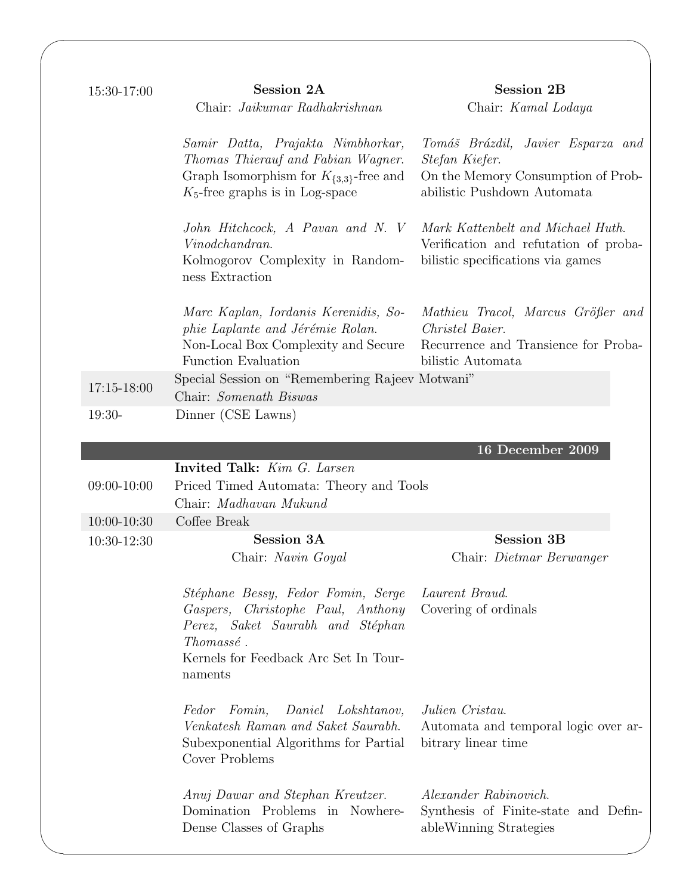| 15:30-17:00     | <b>Session 2A</b><br>Chair: Jaikumar Radhakrishnan                                                                                                                           | <b>Session 2B</b><br>Chair: Kamal Lodaya                                                                                 |
|-----------------|------------------------------------------------------------------------------------------------------------------------------------------------------------------------------|--------------------------------------------------------------------------------------------------------------------------|
|                 | Samir Datta, Prajakta Nimbhorkar,<br>Thomas Thierauf and Fabian Wagner.<br>Graph Isomorphism for $K_{\{3,3\}}$ -free and<br>$K_5$ -free graphs is in Log-space               | Tomáš Brázdil, Javier Esparza and<br>Stefan Kiefer.<br>On the Memory Consumption of Prob-<br>abilistic Pushdown Automata |
|                 | John Hitchcock, A Pavan and N. V<br>Vinodchandran.<br>Kolmogorov Complexity in Random-<br>ness Extraction                                                                    | Mark Kattenbelt and Michael Huth.<br>Verification and refutation of proba-<br>bilistic specifications via games          |
|                 | Marc Kaplan, Iordanis Kerenidis, So-<br>phie Laplante and Jérémie Rolan.<br>Non-Local Box Complexity and Secure<br>Function Evaluation                                       | Mathieu Tracol, Marcus Größer and<br>Christel Baier.<br>Recurrence and Transience for Proba-<br>bilistic Automata        |
| 17:15-18:00     | Special Session on "Remembering Rajeev Motwani"<br>Chair: Somenath Biswas                                                                                                    |                                                                                                                          |
| $19:30-$        | Dinner (CSE Lawns)                                                                                                                                                           |                                                                                                                          |
|                 |                                                                                                                                                                              |                                                                                                                          |
|                 | Invited Talk: Kim G. Larsen                                                                                                                                                  | 16 December 2009                                                                                                         |
| $09:00-10:00$   | Priced Timed Automata: Theory and Tools                                                                                                                                      |                                                                                                                          |
|                 | Chair: Madhavan Mukund                                                                                                                                                       |                                                                                                                          |
| $10:00 - 10:30$ | Coffee Break                                                                                                                                                                 |                                                                                                                          |
| 10:30-12:30     | <b>Session 3A</b>                                                                                                                                                            | <b>Session 3B</b>                                                                                                        |
|                 | Chair: Navin Goyal                                                                                                                                                           | Chair: Dietmar Berwanger                                                                                                 |
|                 | Stéphane Bessy, Fedor Fomin, Serge<br>Gaspers, Christophe Paul, Anthony<br>Perez, Saket Saurabh and Stéphan<br>Thomassé.<br>Kernels for Feedback Arc Set In Tour-<br>naments | Laurent Braud.<br>Covering of ordinals                                                                                   |
|                 | Fedor Fomin, Daniel Lokshtanov,<br>Venkatesh Raman and Saket Saurabh.<br>Subexponential Algorithms for Partial<br>Cover Problems                                             | Julien Cristau.<br>Automata and temporal logic over ar-<br>bitrary linear time                                           |
|                 | Anuj Dawar and Stephan Kreutzer.<br>Domination Problems in Nowhere-<br>Dense Classes of Graphs                                                                               | Alexander Rabinovich.<br>Synthesis of Finite-state and Defin-<br>ableWinning Strategies                                  |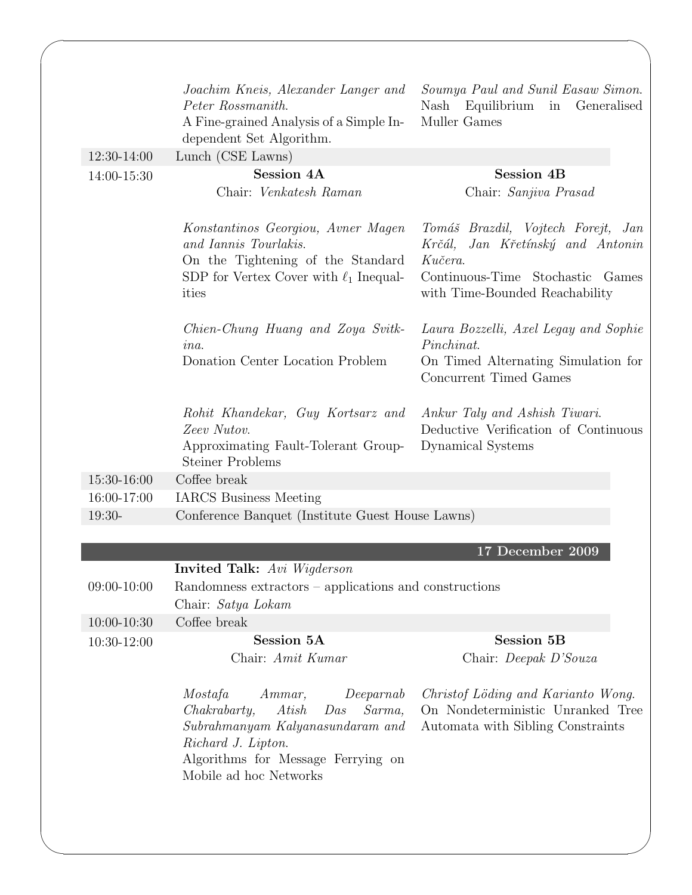| 12:30-14:00     | Joachim Kneis, Alexander Langer and<br>Peter Rossmanith.<br>A Fine-grained Analysis of a Simple In-<br>dependent Set Algorithm.<br>Lunch (CSE Lawns)                                                 | Soumya Paul and Sunil Easaw Simon.<br>Equilibrium<br>Generalised<br>Nash<br>in<br>Muller Games                                                          |
|-----------------|------------------------------------------------------------------------------------------------------------------------------------------------------------------------------------------------------|---------------------------------------------------------------------------------------------------------------------------------------------------------|
|                 | <b>Session 4A</b>                                                                                                                                                                                    | <b>Session 4B</b>                                                                                                                                       |
| 14:00-15:30     | Chair: Venkatesh Raman                                                                                                                                                                               | Chair: Sanjiva Prasad                                                                                                                                   |
|                 | Konstantinos Georgiou, Avner Magen<br>and Iannis Tourlakis.<br>On the Tightening of the Standard<br>SDP for Vertex Cover with $\ell_1$ Inequal-<br>ities                                             | Tomáš Brazdil, Vojtech Forejt, Jan<br>Krčál, Jan Křetínský and Antonin<br>Kučera.<br>Continuous-Time Stochastic Games<br>with Time-Bounded Reachability |
|                 | Chien-Chung Huang and Zoya Svitk-<br>$in a$ .                                                                                                                                                        | Laura Bozzelli, Axel Legay and Sophie<br>Pinchinat.                                                                                                     |
|                 | Donation Center Location Problem                                                                                                                                                                     | On Timed Alternating Simulation for<br>Concurrent Timed Games                                                                                           |
|                 | Rohit Khandekar, Guy Kortsarz and<br>Zeev Nutov.<br>Approximating Fault-Tolerant Group-<br><b>Steiner Problems</b>                                                                                   | Ankur Taly and Ashish Tiwari.<br>Deductive Verification of Continuous<br>Dynamical Systems                                                              |
| 15:30-16:00     | Coffee break                                                                                                                                                                                         |                                                                                                                                                         |
| 16:00-17:00     | <b>IARCS</b> Business Meeting                                                                                                                                                                        |                                                                                                                                                         |
| 19:30-          | Conference Banquet (Institute Guest House Lawns)                                                                                                                                                     |                                                                                                                                                         |
|                 |                                                                                                                                                                                                      |                                                                                                                                                         |
|                 |                                                                                                                                                                                                      | 17 December 2009                                                                                                                                        |
|                 | <b>Invited Talk:</b> Avi Wigderson                                                                                                                                                                   |                                                                                                                                                         |
| 09:00-10:00     | Randomness extractors – applications and constructions<br>Chair: Satya Lokam                                                                                                                         |                                                                                                                                                         |
| $10:00 - 10:30$ | Coffee break                                                                                                                                                                                         |                                                                                                                                                         |
| 10:30-12:00     | Session 5A                                                                                                                                                                                           | <b>Session 5B</b>                                                                                                                                       |
|                 | Chair: Amit Kumar                                                                                                                                                                                    | Chair: Deepak D'Souza                                                                                                                                   |
|                 |                                                                                                                                                                                                      |                                                                                                                                                         |
|                 | Mostafa<br>Ammar,<br>Deeparnab<br>Chakrabarty,<br>Atish<br>Sarma,<br>Das<br>$Subrahmanyam$ Kalyanasundaram and<br>Richard J. Lipton.<br>Algorithms for Message Ferrying on<br>Mobile ad hoc Networks | Christof Löding and Karianto Wong.<br>On Nondeterministic Unranked Tree<br>Automata with Sibling Constraints                                            |
|                 |                                                                                                                                                                                                      |                                                                                                                                                         |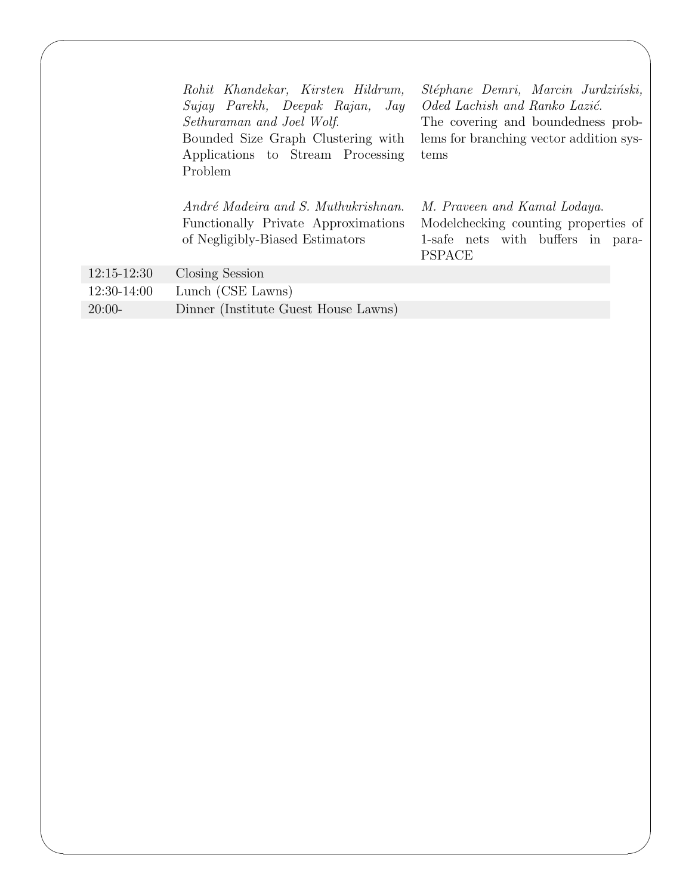|                 | Rohit Khandekar, Kirsten Hildrum,<br>Sujay Parekh, Deepak Rajan, Jay<br>Sethuraman and Joel Wolf.<br>Bounded Size Graph Clustering with<br>Applications to Stream Processing<br>Problem<br>André Madeira and S. Muthukrishnan. | Stéphane Demri, Marcin Jurdziński,<br>Oded Lachish and Ranko Lazić.<br>The covering and boundedness prob-<br>lems for branching vector addition sys-<br>tems<br>M. Praveen and Kamal Lodaya. |
|-----------------|--------------------------------------------------------------------------------------------------------------------------------------------------------------------------------------------------------------------------------|----------------------------------------------------------------------------------------------------------------------------------------------------------------------------------------------|
|                 | Functionally Private Approximations<br>of Negligibly-Biased Estimators                                                                                                                                                         | Modelchecking counting properties of<br>1-safe nets with buffers in para-<br><b>PSPACE</b>                                                                                                   |
| $12:15 - 12:30$ | Closing Session                                                                                                                                                                                                                |                                                                                                                                                                                              |
| 12:30-14:00     | Lunch (CSE Lawns)                                                                                                                                                                                                              |                                                                                                                                                                                              |
| $20:00-$        | Dinner (Institute Guest House Lawns)                                                                                                                                                                                           |                                                                                                                                                                                              |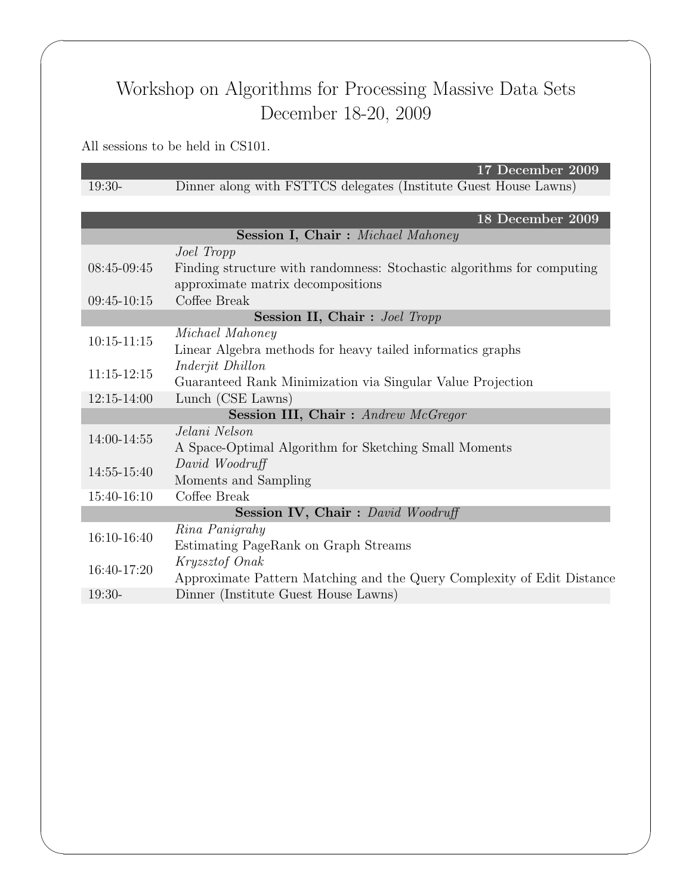## Workshop on Algorithms for Processing Massive Data Sets December 18-20, 2009

## All sessions to be held in CS101.

 $\sqrt{2\pi}$ 

✫

17 December 2009 19:30- Dinner along with FSTTCS delegates (Institute Guest House Lawns)

|                                            | 18 December 2009                                                                                            |  |
|--------------------------------------------|-------------------------------------------------------------------------------------------------------------|--|
|                                            | <b>Session I, Chair:</b> Michael Mahoney                                                                    |  |
|                                            | Joel Tropp                                                                                                  |  |
| $08:45-09:45$                              | Finding structure with randomness: Stochastic algorithms for computing<br>approximate matrix decompositions |  |
| $09:45-10:15$                              | Coffee Break                                                                                                |  |
| <b>Session II, Chair:</b> Joel Tropp       |                                                                                                             |  |
| $10:15 - 11:15$                            | Michael Mahoney<br>Linear Algebra methods for heavy tailed informatics graphs                               |  |
| $11:15 - 12:15$                            | <i>Inderjit Dhillon</i><br>Guaranteed Rank Minimization via Singular Value Projection                       |  |
| $12:15 - 14:00$                            | Lunch (CSE Lawns)                                                                                           |  |
| <b>Session III, Chair:</b> Andrew McGregor |                                                                                                             |  |
| 14:00-14:55                                | Jelani Nelson<br>A Space-Optimal Algorithm for Sketching Small Moments                                      |  |
| 14:55-15:40                                | David Woodruff<br>Moments and Sampling                                                                      |  |
| 15:40-16:10                                | Coffee Break                                                                                                |  |
| Session IV, Chair: David Woodruff          |                                                                                                             |  |
| 16:10-16:40                                | Rina Panigrahy<br>Estimating PageRank on Graph Streams                                                      |  |
| 16:40-17:20                                | Kryzsztof Onak<br>Approximate Pattern Matching and the Query Complexity of Edit Distance                    |  |
| $19:30-$                                   | Dinner (Institute Guest House Lawns)                                                                        |  |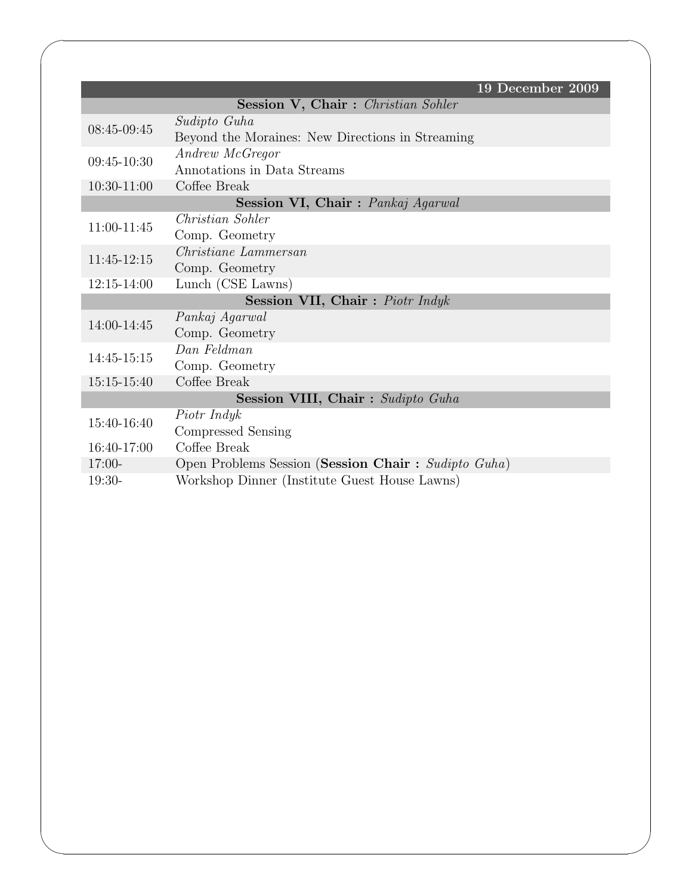|                                   | 19 December 2009                                    |  |
|-----------------------------------|-----------------------------------------------------|--|
|                                   | <b>Session V, Chair:</b> Christian Sohler           |  |
| $08:45-09:45$                     | Sudipto Guha                                        |  |
|                                   | Beyond the Moraines: New Directions in Streaming    |  |
| 09:45-10:30                       | Andrew McGregor                                     |  |
|                                   | Annotations in Data Streams                         |  |
| 10:30-11:00                       | Coffee Break                                        |  |
|                                   | Session VI, Chair: Pankaj Agarwal                   |  |
| 11:00-11:45                       | Christian Sohler                                    |  |
|                                   | Comp. Geometry                                      |  |
| $11:45-12:15$                     | Christiane Lammersan                                |  |
|                                   | Comp. Geometry                                      |  |
| $12:15 - 14:00$                   | Lunch (CSE Lawns)                                   |  |
|                                   | <b>Session VII, Chair:</b> Piotr Indyk              |  |
| 14:00-14:45                       | Pankaj Agarwal                                      |  |
|                                   | Comp. Geometry                                      |  |
| 14:45-15:15                       | Dan Feldman                                         |  |
|                                   | Comp. Geometry                                      |  |
| $15:15-15:40$                     | Coffee Break                                        |  |
| Session VIII, Chair: Sudipto Guha |                                                     |  |
| 15:40-16:40                       | Piotr Indyk                                         |  |
|                                   | Compressed Sensing                                  |  |
| $16:40-17:00$                     | Coffee Break                                        |  |
| $17:00-$                          | Open Problems Session (Session Chair: Sudipto Guha) |  |
| $19:30-$                          | Workshop Dinner (Institute Guest House Lawns)       |  |